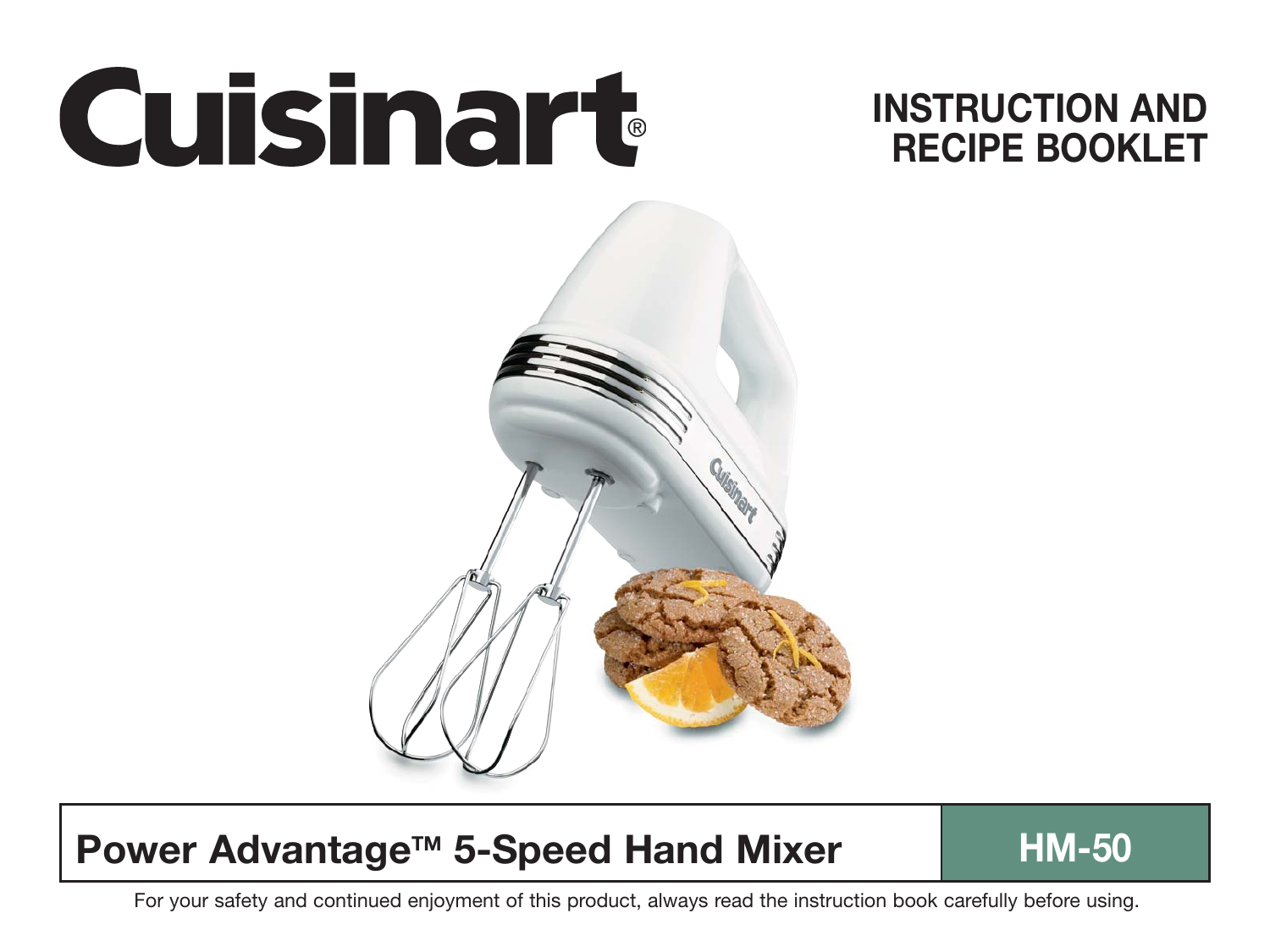

# **INSTRUCTION AND RECIPE BOOKLET**

# **Power Advantage™ 5-Speed Hand Mixer HM-50**

For your safety and continued enjoyment of this product, always read the instruction book carefully before using.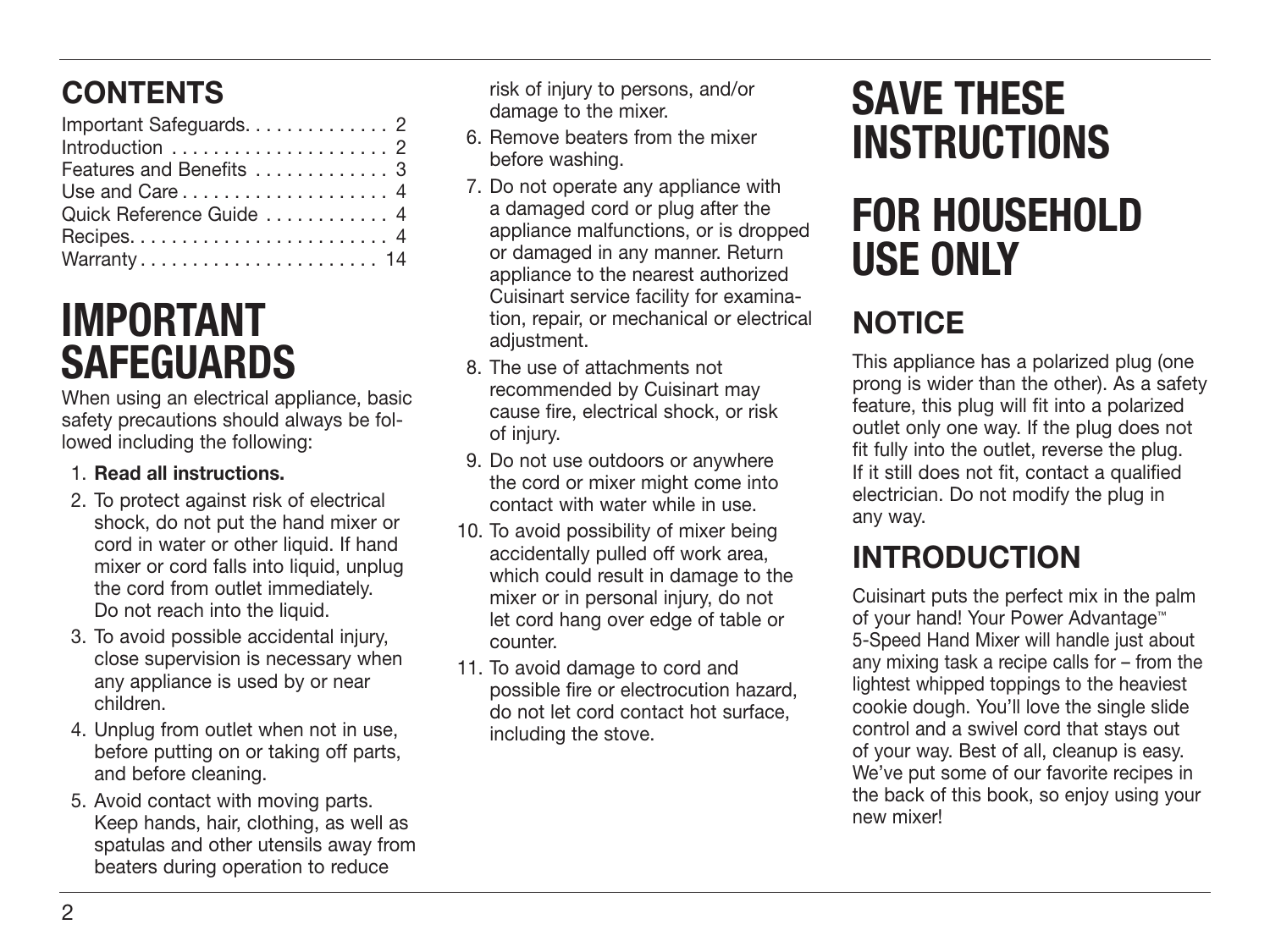# **CONTENTS**

| Important Safeguards. 2                                    |  |
|------------------------------------------------------------|--|
|                                                            |  |
| Features and Benefits  3                                   |  |
| Use and Care $\ldots$ , $\ldots$ , $\ldots$ , $\ldots$ , 4 |  |
| Quick Reference Guide  4                                   |  |
|                                                            |  |
| Warranty 14                                                |  |

# **IMPORTANT SAFEGUARDS**

When using an electrical appliance, basic safety precautions should always be followed including the following:

#### 1. **Read all instructions.**

- 2. To protect against risk of electrical shock, do not put the hand mixer or cord in water or other liquid. If hand mixer or cord falls into liquid, unplug the cord from outlet immediately. Do not reach into the liquid.
- 3. To avoid possible accidental injury, close supervision is necessary when any appliance is used by or near children.
- 4. Unplug from outlet when not in use, before putting on or taking off parts, and before cleaning.
- 5. Avoid contact with moving parts. Keep hands, hair, clothing, as well as spatulas and other utensils away from beaters during operation to reduce

risk of injury to persons, and/or damage to the mixer.

- 6. Remove beaters from the mixer before washing.
- 7. Do not operate any appliance with a damaged cord or plug after the appliance malfunctions, or is dropped or damaged in any manner. Return appliance to the nearest authorized Cuisinart service facility for examination, repair, or mechanical or electrical adiustment.
- 8. The use of attachments not recommended by Cuisinart may cause fire, electrical shock, or risk of injury.
- 9. Do not use outdoors or anywhere the cord or mixer might come into contact with water while in use.
- 10. To avoid possibility of mixer being accidentally pulled off work area, which could result in damage to the mixer or in personal injury, do not let cord hang over edge of table or counter.
- 11. To avoid damage to cord and possible fire or electrocution hazard, do not let cord contact hot surface, including the stove.

# **SAVE THESE INSTRUCTIONS**

# **FOR HOUSEHOLD USE ONLY**

# **NOTICE**

This appliance has a polarized plug (one prong is wider than the other). As a safety feature, this plug will fit into a polarized outlet only one way. If the plug does not fit fully into the outlet, reverse the plug. If it still does not fit, contact a qualified electrician. Do not modify the plug in any way.

# **INTRODUCTION**

Cuisinart puts the perfect mix in the palm of your hand! Your Power Advantage™ 5-Speed Hand Mixer will handle just about any mixing task a recipe calls for – from the lightest whipped toppings to the heaviest cookie dough. You'll love the single slide control and a swivel cord that stays out of your way. Best of all, cleanup is easy. We've put some of our favorite recipes in the back of this book, so enjoy using your new mixer!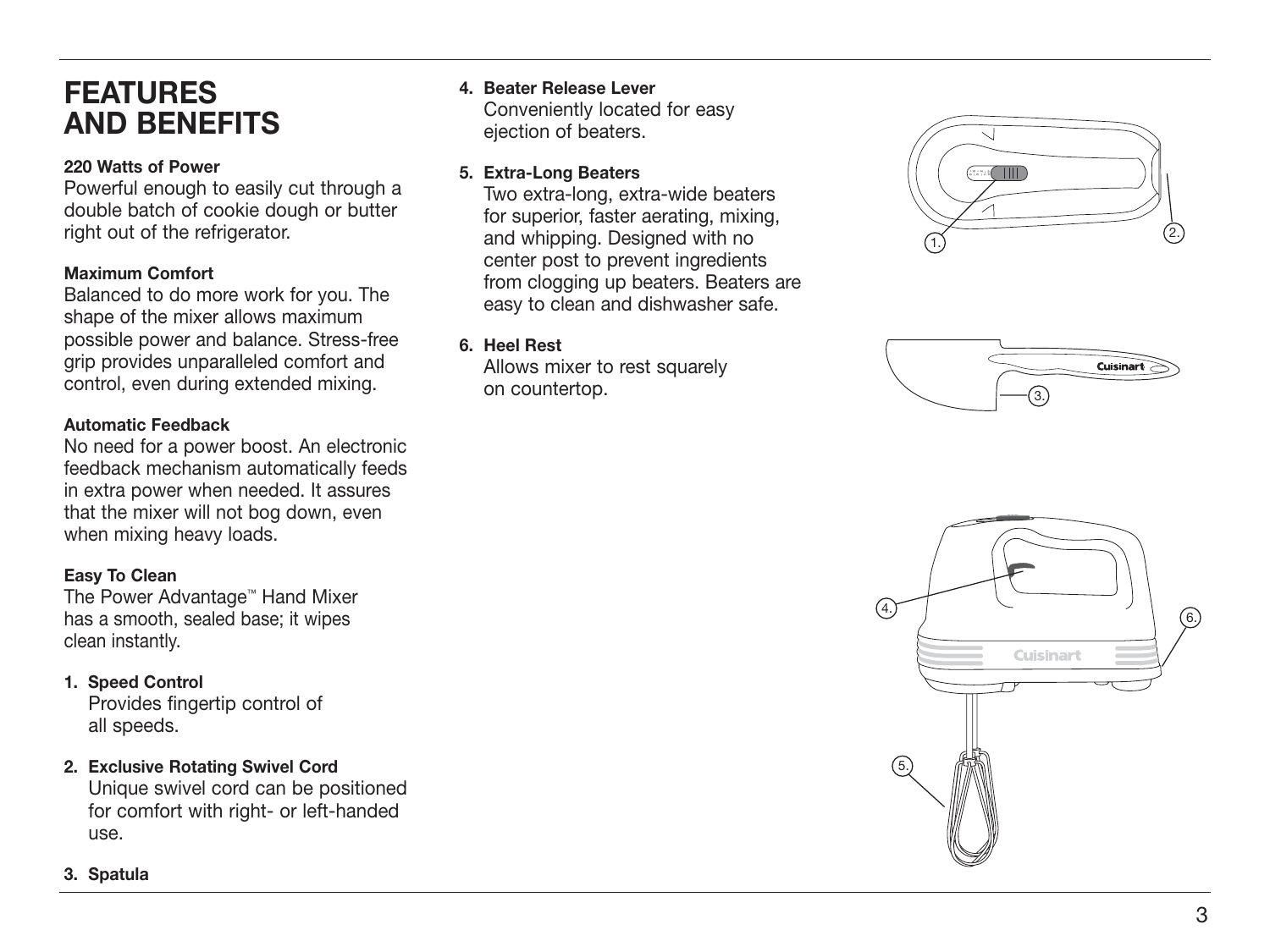### **FEATURES AND BENEFITS**

#### **220 Watts of Power**

Powerful enough to easily cut through a double batch of cookie dough or butter right out of the refrigerator.

#### **Maximum Comfort**

Balanced to do more work for you. The shape of the mixer allows maximum possible power and balance. Stress-free grip provides unparalleled comfort and control, even during extended mixing.

#### **Automatic Feedback**

No need for a power boost. An electronic feedback mechanism automatically feeds in extra power when needed. It assures that the mixer will not bog down, even when mixing heavy loads.

#### **Easy To Clean**

The Power Advantage ™ Hand Mixer has a smooth, sealed base; it wipes clean instantly.

#### **1. Speed Control**

 Provides fingertip control of all speeds.

**2. Exclusive Rotating Swivel Cord**

 Unique swivel cord can be positioned for comfort with right- or left-handed use.

#### **3. Spatula**

**4. Beater Release Lever** Conveniently located for easy ejection of beaters.

#### **5. Extra-Long Beaters**

 Two extra-long, extra-wide beaters for superior, faster aerating, mixing, and whipping. Designed with no center post to prevent ingredients from clogging up beaters. Beaters are easy to clean and dishwasher safe.

#### **6. Heel Rest**

 Allows mixer to rest squarely on countertop.





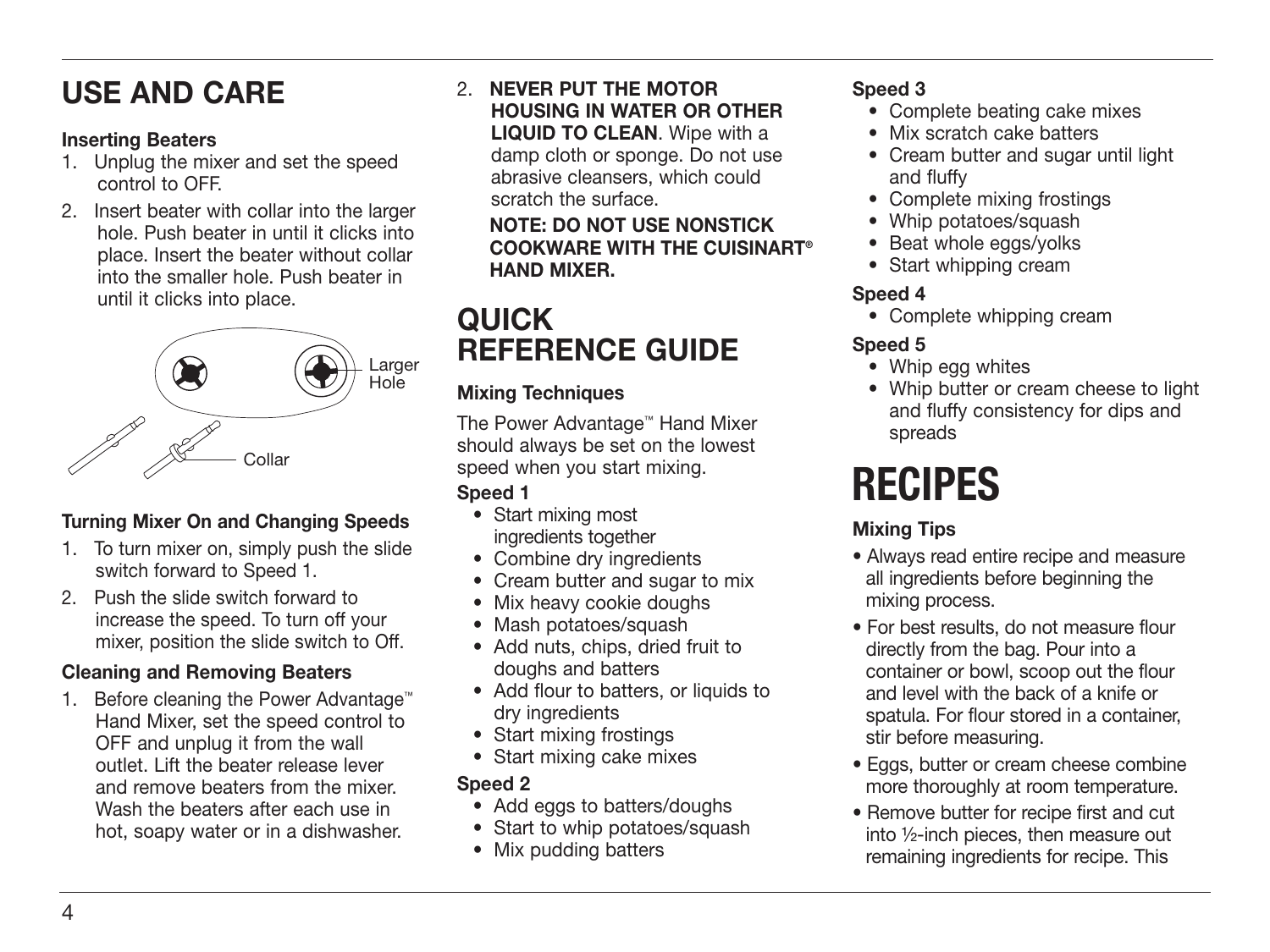# **USE AND CARE**

#### **Inserting Beaters**

- 1. Unplug the mixer and set the speed control to OFF.
- 2. Insert beater with collar into the larger hole. Push beater in until it clicks into place. Insert the beater without collar into the smaller hole. Push beater in until it clicks into place.



#### **Turning Mixer On and Changing Speeds**

- 1. To turn mixer on, simply push the slide switch forward to Speed 1.
- 2. Push the slide switch forward to increase the speed. To turn off your mixer, position the slide switch to Off.

#### **Cleaning and Removing Beaters**

1. Before cleaning the Power Advantage™ Hand Mixer, set the speed control to OFF and unplug it from the wall outlet. Lift the beater release lever and remove beaters from the mixer. Wash the beaters after each use in hot, soapy water or in a dishwasher.

2. **NEVER PUT THE MOTOR HOUSING IN WATER OR OTHER LIQUID TO CLEAN**. Wipe with a damp cloth or sponge. Do not use abrasive cleansers, which could scratch the surface.

#### **NOTE: DO NOT USE NONSTICK COOKWARE WITH THE CUISINART® HAND MIXER.**

## **QUICK REFERENCE GUIDE**

#### **Mixing Techniques**

The Power Advantage™ Hand Mixer should always be set on the lowest speed when you start mixing. **Speed 1**

- Start mixing most ingredients together
- Combine dry ingredients
- Cream butter and sugar to mix
- Mix heavy cookie doughs
- Mash potatoes/squash
- Add nuts, chips, dried fruit to doughs and batters
- Add flour to batters, or liquids to dry ingredients
- Start mixing frostings
- Start mixing cake mixes

#### **Speed 2**

- Add eggs to batters/doughs
- Start to whip potatoes/squash
- Mix pudding batters

#### **Speed 3**

- Complete beating cake mixes
- Mix scratch cake batters
- Cream butter and sugar until light and fluffy
- Complete mixing frostings
- Whip potatoes/squash
- Beat whole eggs/yolks
- Start whipping cream

#### **Speed 4**

• Complete whipping cream

#### **Speed 5**

- Whip egg whites
- Whip butter or cream cheese to light and fluffy consistency for dips and spreads

# **RECIPES**

#### **Mixing Tips**

- Always read entire recipe and measure all ingredients before beginning the mixing process.
- For best results, do not measure flour directly from the bag. Pour into a container or bowl, scoop out the flour and level with the back of a knife or spatula. For flour stored in a container, stir before measuring.
- Eggs, butter or cream cheese combine more thoroughly at room temperature.
- Remove butter for recipe first and cut into ½-inch pieces, then measure out remaining ingredients for recipe. This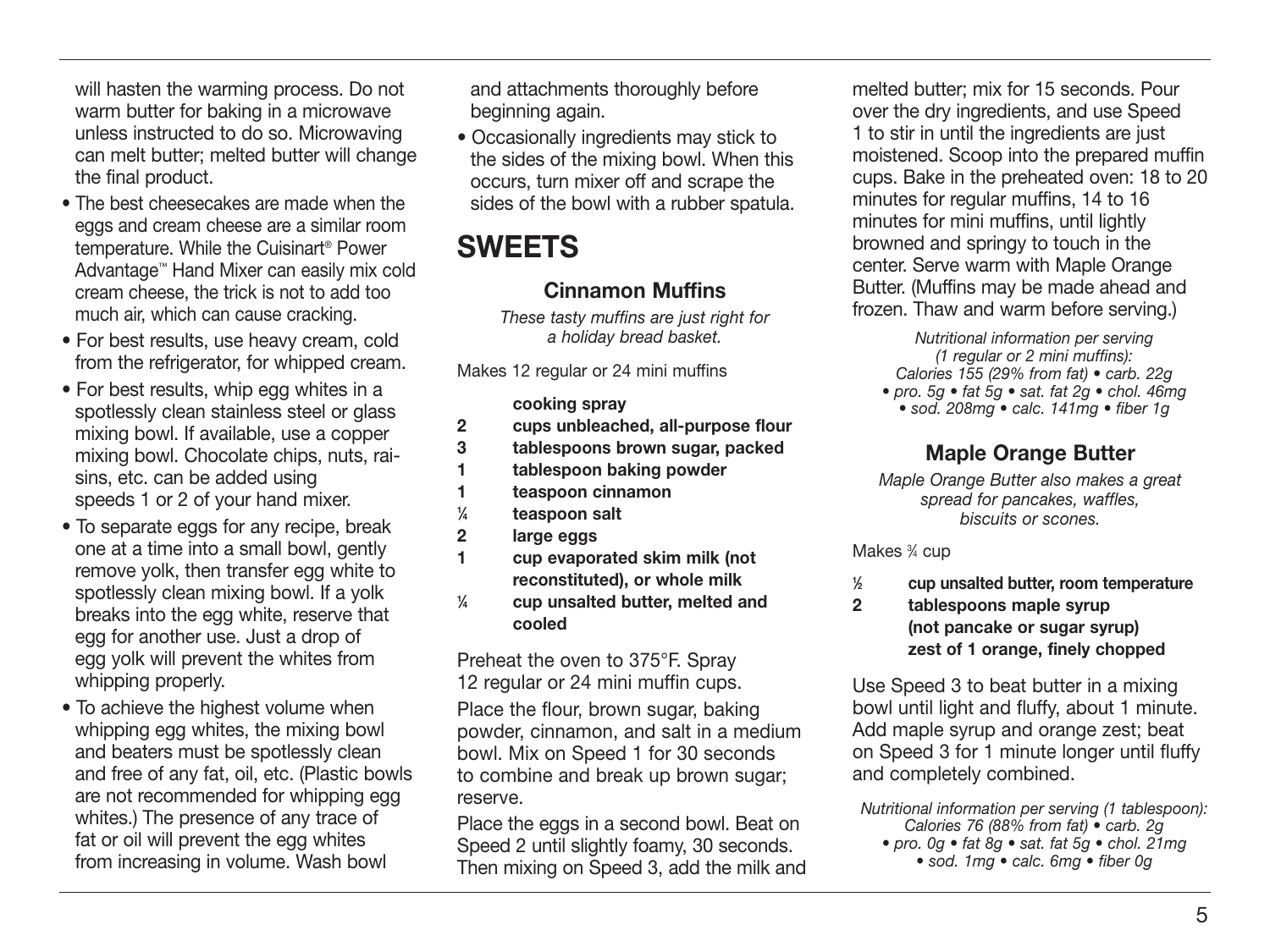will hasten the warming process. Do not warm butter for baking in a microwave unless instructed to do so. Microwaving can melt butter; melted butter will change the final product.

- The best cheesecakes are made when the eggs and cream cheese are a similar room temperature. While the Cuisinart® Power Advantage™ Hand Mixer can easily mix cold cream cheese, the trick is not to add too much air, which can cause cracking.
- For best results, use heavy cream, cold from the refrigerator, for whipped cream.
- For best results, whip egg whites in a spotlessly clean stainless steel or glass mixing bowl. If available, use a copper mixing bowl. Chocolate chips, nuts, raisins, etc. can be added using speeds 1 or 2 of your hand mixer.
- To separate eggs for any recipe, break one at a time into a small bowl, gently remove yolk, then transfer egg white to spotlessly clean mixing bowl. If a yolk breaks into the egg white, reserve that egg for another use. Just a drop of egg yolk will prevent the whites from whipping properly.
- To achieve the highest volume when whipping egg whites, the mixing bowl and beaters must be spotlessly clean and free of any fat, oil, etc. (Plastic bowls are not recommended for whipping egg whites.) The presence of any trace of fat or oil will prevent the egg whites from increasing in volume. Wash bowl

 and attachments thoroughly before beginning again.

• Occasionally ingredients may stick to the sides of the mixing bowl. When this occurs, turn mixer off and scrape the sides of the bowl with a rubber spatula.

## **SWEETS**

#### **Cinnamon Muffins**

These tasty muffins are just right for a holiday bread basket.

Makes 12 regular or 24 mini muffins

#### **cooking spray**

- **2 cups unbleached, all-purpose flour**
- **3 tablespoons brown sugar, packed**
- **1 tablespoon baking powder**
- **1 teaspoon cinnamon**
- **1 ⁄4 teaspoon salt**
- **2 large eggs**
- **1 cup evaporated skim milk (not reconstituted), or whole milk**
- **1 ⁄4 cup unsalted butter, melted and cooled**

Preheat the oven to 375°F. Spray 12 regular or 24 mini muffin cups.

Place the flour, brown sugar, baking powder, cinnamon, and salt in a medium bowl. Mix on Speed 1 for 30 seconds to combine and break up brown sugar; reserve.

Place the eggs in a second bowl. Beat on Speed 2 until slightly foamy, 30 seconds. Then mixing on Speed 3, add the milk and melted butter; mix for 15 seconds. Pour over the dry ingredients, and use Speed 1 to stir in until the ingredients are just moistened. Scoop into the prepared muffin cups. Bake in the preheated oven: 18 to 20 minutes for regular muffins, 14 to 16 minutes for mini muffins, until lightly browned and springy to touch in the center. Serve warm with Maple Orange Butter. (Muffins may be made ahead and frozen. Thaw and warm before serving.)

Nutritional information per serving (1 regular or 2 mini muffins): Calories 155 (29% from fat) • carb. 22g • pro. 5g • fat 5g • sat. fat 2g • chol. 46mg • sod. 208mg • calc. 141mg • fiber 1g

#### **Maple Orange Butter**

Maple Orange Butter also makes a great spread for pancakes, waffles, biscuits or scones.

Makes 3 ⁄4 cup

- **1 ⁄2 cup unsalted butter, room temperature**
- **2 tablespoons maple syrup (not pancake or sugar syrup) zest of 1 orange, finely chopped**

Use Speed 3 to beat butter in a mixing bowl until light and fluffy, about 1 minute. Add maple syrup and orange zest; beat on Speed 3 for 1 minute longer until fluffy and completely combined.

Nutritional information per serving (1 tablespoon): Calories 76 (88% from fat) • carb. 2g • pro. 0g • fat 8g • sat. fat 5g • chol. 21mg • sod. 1mg • calc. 6mg • fiber 0g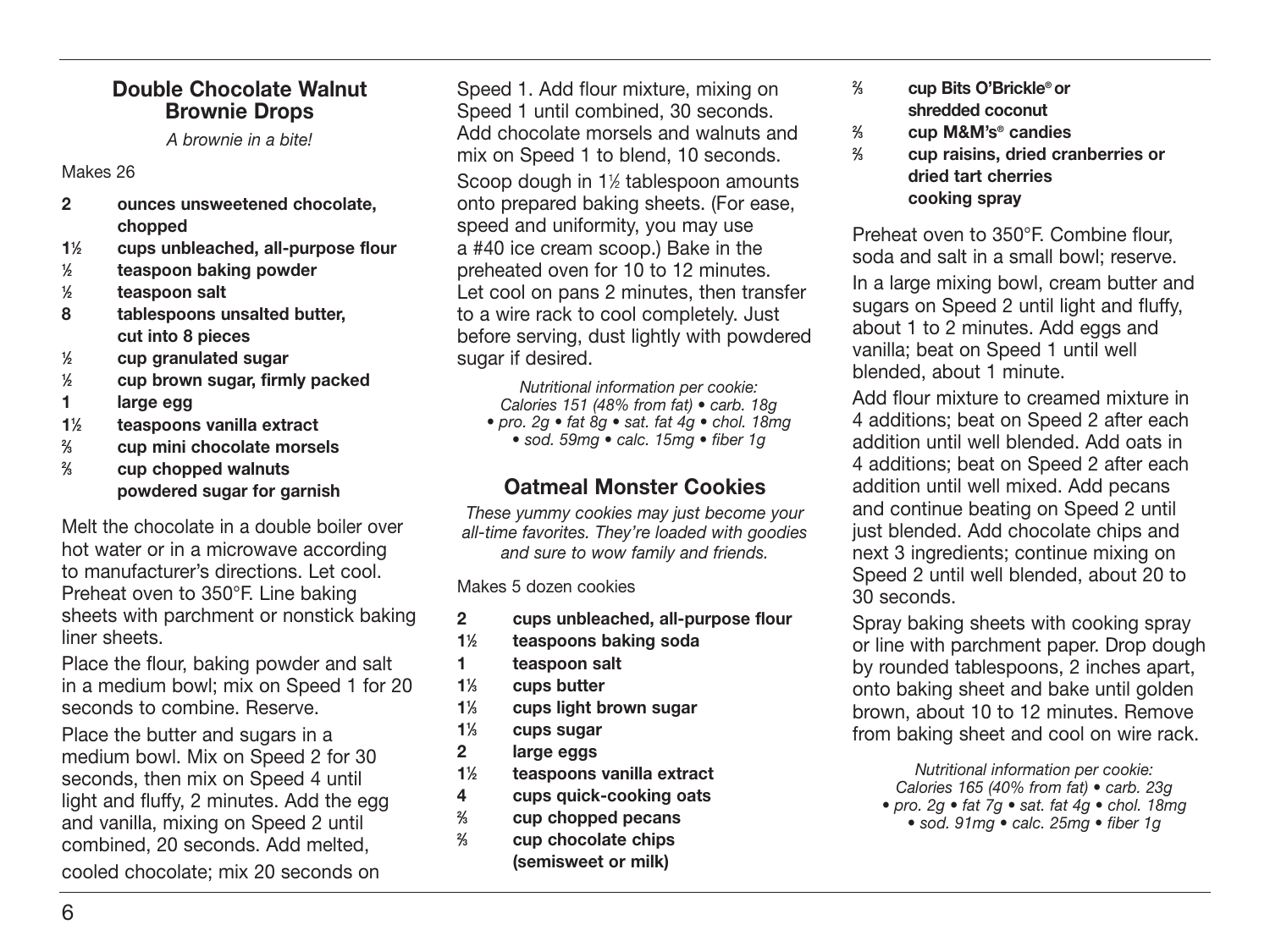#### **Double Chocolate Walnut Brownie Drops**

A brownie in a bite!

#### Makes 26

- **2 ounces unsweetened chocolate, chopped**
- **11 ⁄2 cups unbleached, all-purpose flour**
- **1 ⁄2 teaspoon baking powder**
- **1 ⁄2 teaspoon salt**
- **8 tablespoons unsalted butter, cut into 8 pieces**
- **1 ⁄2 cup granulated sugar**
- **1 ⁄2 cup brown sugar, firmly packed**
- **1 large egg**
- **11 ⁄2 teaspoons vanilla extract**
- **2 ⁄3 cup mini chocolate morsels**
- **2 ⁄3 cup chopped walnuts powdered sugar for garnish**

Melt the chocolate in a double boiler over hot water or in a microwave according to manufacturer's directions. Let cool. Preheat oven to 350°F. Line baking sheets with parchment or nonstick baking liner sheets.

Place the flour, baking powder and salt in a medium bowl; mix on Speed 1 for 20 seconds to combine. Reserve.

Place the butter and sugars in a medium bowl. Mix on Speed 2 for 30 seconds, then mix on Speed 4 until light and fluffy, 2 minutes. Add the egg and vanilla, mixing on Speed 2 until combined, 20 seconds. Add melted,

cooled chocolate; mix 20 seconds on

Speed 1. Add flour mixture, mixing on Speed 1 until combined, 30 seconds. Add chocolate morsels and walnuts and mix on Speed 1 to blend, 10 seconds. Scoop dough in 11 ⁄2 tablespoon amounts onto prepared baking sheets. (For ease, speed and uniformity, you may use a #40 ice cream scoop.) Bake in the preheated oven for 10 to 12 minutes. Let cool on pans 2 minutes, then transfer to a wire rack to cool completely. Just before serving, dust lightly with powdered sugar if desired.

Nutritional information per cookie: Calories 151 (48% from fat) • carb. 18g • pro. 2g • fat 8g • sat. fat 4g • chol. 18mg • sod. 59mg • calc. 15mg • fiber 1g

#### **Oatmeal Monster Cookies**

These yummy cookies may just become your all-time favorites. They're loaded with goodies and sure to wow family and friends.

Makes 5 dozen cookies

- **2 cups unbleached, all-purpose flour**
- **11 ⁄2 teaspoons baking soda**
- **1 teaspoon salt**
- **11 ⁄3 cups butter**
- **11 ⁄3 cups light brown sugar**
- **11 ⁄3 cups sugar**
- **2 large eggs**
- **11 ⁄2 teaspoons vanilla extract**
- **4 cups quick-cooking oats**
- **2 ⁄3 cup chopped pecans**
- **2 ⁄3 cup chocolate chips (semisweet or milk)**
- **2 ⁄3 cup Bits O'Brickle® or shredded coconut**
- **2 ⁄3 cup M&M's® candies**
- **2 ⁄3 cup raisins, dried cranberries or dried tart cherries cooking spray**

Preheat oven to 350°F. Combine flour, soda and salt in a small bowl; reserve.

In a large mixing bowl, cream butter and sugars on Speed 2 until light and fluffy. about 1 to 2 minutes. Add eggs and vanilla; beat on Speed 1 until well blended, about 1 minute.

Add flour mixture to creamed mixture in 4 additions; beat on Speed 2 after each addition until well blended. Add oats in 4 additions; beat on Speed 2 after each addition until well mixed. Add pecans and continue beating on Speed 2 until just blended. Add chocolate chips and next 3 ingredients; continue mixing on Speed 2 until well blended, about 20 to 30 seconds.

Spray baking sheets with cooking spray or line with parchment paper. Drop dough by rounded tablespoons, 2 inches apart, onto baking sheet and bake until golden brown, about 10 to 12 minutes. Remove from baking sheet and cool on wire rack.

Nutritional information per cookie: Calories 165 (40% from fat) • carb. 23g • pro. 2g • fat  $7g$  • sat. fat  $4g$  • chol. 18mg • sod. 91mg • calc. 25mg • fiber 1g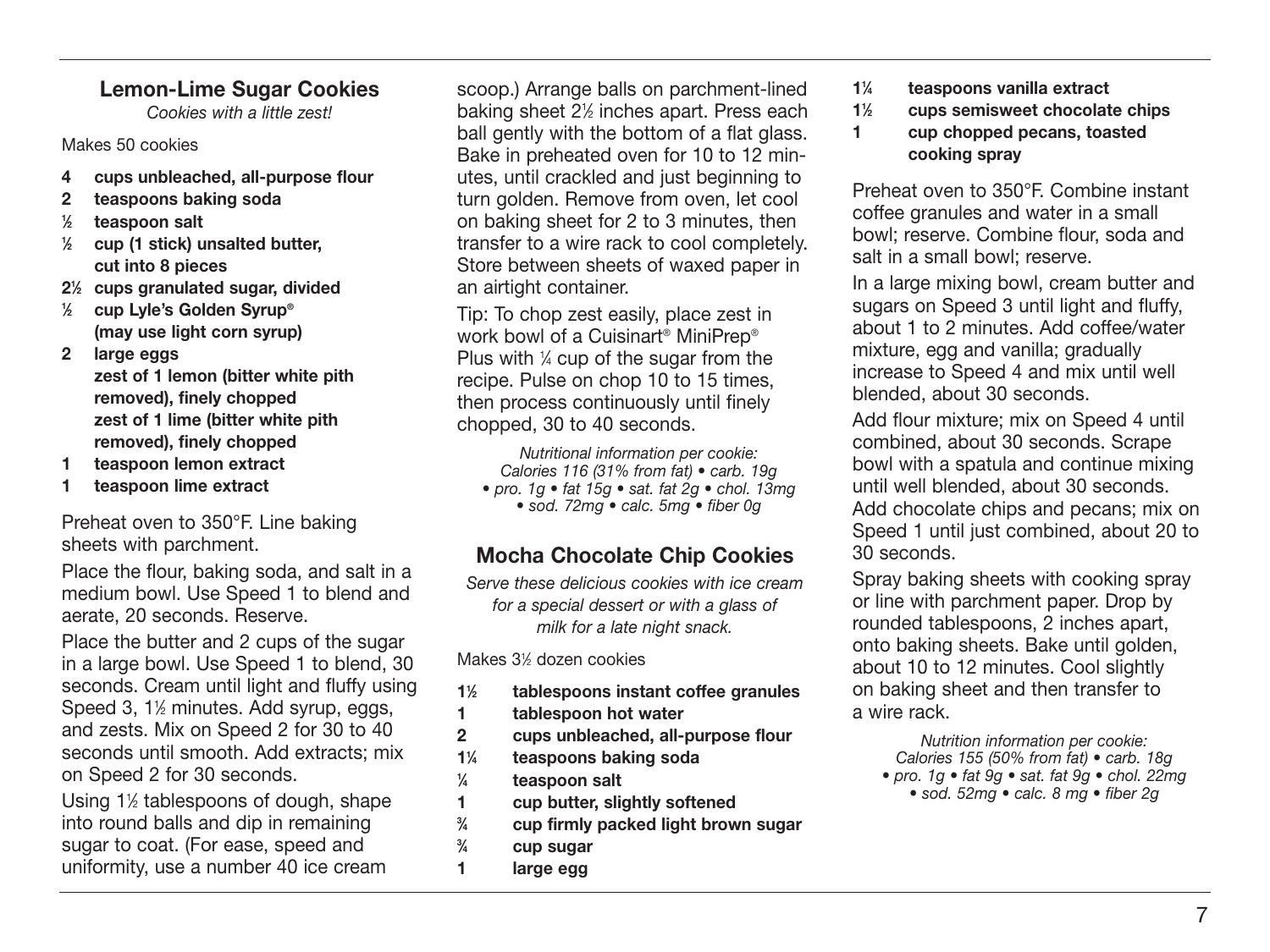#### **Lemon-Lime Sugar Cookies**

Cookies with a little zest!

#### Makes 50 cookies

- **4 cups unbleached, all-purpose flour**
- **2 teaspoons baking soda**
- **1 ⁄2 teaspoon salt**
- **1 ⁄2 cup (1 stick) unsalted butter, cut into 8 pieces**
- **21 ⁄2 cups granulated sugar, divided**
- **1 ⁄2 cup Lyle's Golden Syrup® (may use light corn syrup)**
- **2 large eggs**

 **zest of 1 lemon (bitter white pith removed), finely chopped zest of 1 lime (bitter white pith removed), finely chopped**

- **1 teaspoon lemon extract**
- **1 teaspoon lime extract**

Preheat oven to 350°F. Line baking sheets with parchment.

Place the flour, baking soda, and salt in a medium bowl. Use Speed 1 to blend and aerate, 20 seconds. Reserve.

Place the butter and 2 cups of the sugar in a large bowl. Use Speed 1 to blend, 30 seconds. Cream until light and fluffy using Speed 3, 11 ⁄2 minutes. Add syrup, eggs, and zests. Mix on Speed 2 for 30 to 40 seconds until smooth. Add extracts; mix on Speed 2 for 30 seconds.

Using 1<sup>1/2</sup> tablespoons of dough, shape into round balls and dip in remaining sugar to coat. (For ease, speed and uniformity, use a number 40 ice cream

scoop.) Arrange balls on parchment-lined baking sheet 21 ⁄2 inches apart. Press each ball gently with the bottom of a flat glass. Bake in preheated oven for 10 to 12 minutes, until crackled and just beginning to turn golden. Remove from oven, let cool on baking sheet for 2 to 3 minutes, then transfer to a wire rack to cool completely. Store between sheets of waxed paper in an airtight container.

Tip: To chop zest easily, place zest in work bowl of a Cuisinart® MiniPrep® Plus with  $\frac{1}{4}$  cup of the sugar from the recipe. Pulse on chop 10 to 15 times, then process continuously until finely chopped, 30 to 40 seconds.

> Nutritional information per cookie: Calories 116 (31% from fat) • carb. 19g

- pro. 1g fat  $15g$  sat. fat  $2g$  chol. 13mg
	- sod. 72mg calc. 5mg fiber 0g

### **Mocha Chocolate Chip Cookies**

Serve these delicious cookies with ice cream for a special dessert or with a glass of milk for a late night snack.

Makes 3½ dozen cookies

- **11 ⁄2 tablespoons instant coffee granules**
- **1 tablespoon hot water**
- **2 cups unbleached, all-purpose flour**
- **11 ⁄4 teaspoons baking soda**
- **1 ⁄4 teaspoon salt**
- **1 cup butter, slightly softened**
- **3 ⁄4 cup firmly packed light brown sugar**
- **3 ⁄4 cup sugar**
- **1 large egg**
- **11 ⁄4 teaspoons vanilla extract**
- **11 ⁄2 cups semisweet chocolate chips**
- **1 cup chopped pecans, toasted cooking spray**

Preheat oven to 350°F. Combine instant coffee granules and water in a small bowl; reserve. Combine flour, soda and salt in a small bowl: reserve.

In a large mixing bowl, cream butter and sugars on Speed 3 until light and fluffy. about 1 to 2 minutes. Add coffee/water mixture, egg and vanilla; gradually increase to Speed 4 and mix until well blended, about 30 seconds.

Add flour mixture: mix on Speed 4 until combined, about 30 seconds. Scrape bowl with a spatula and continue mixing until well blended, about 30 seconds. Add chocolate chips and pecans; mix on Speed 1 until just combined, about 20 to 30 seconds.

Spray baking sheets with cooking spray or line with parchment paper. Drop by rounded tablespoons, 2 inches apart, onto baking sheets. Bake until golden, about 10 to 12 minutes. Cool slightly on baking sheet and then transfer to a wire rack.

Nutrition information per cookie: Calories 155 (50% from fat) • carb. 18g • pro. 1g • fat 9g • sat. fat 9g • chol. 22mg • sod. 52mg • calc. 8 mg • fiber 2g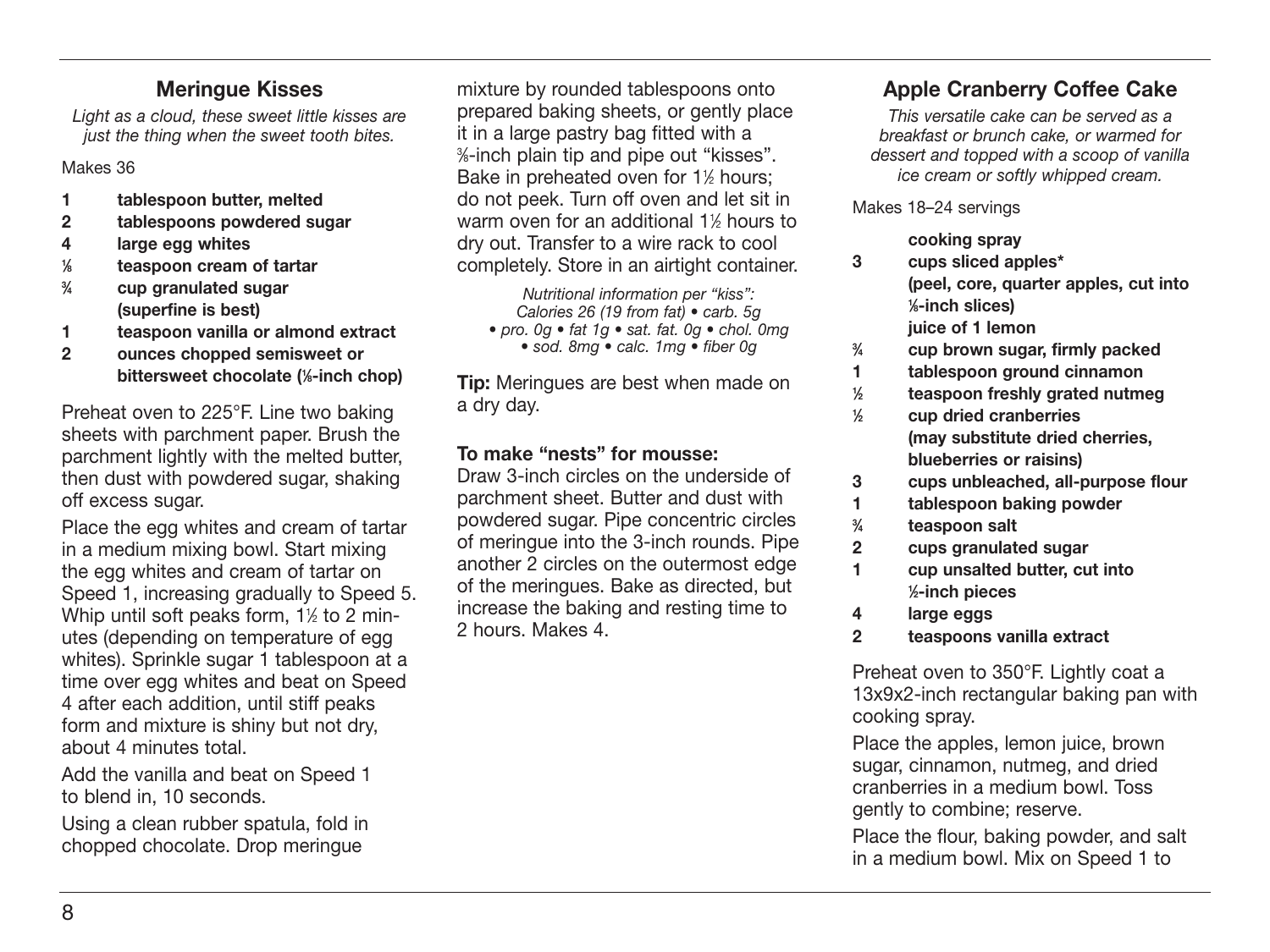#### **Meringue Kisses**

Light as a cloud, these sweet little kisses are just the thing when the sweet tooth bites.

#### Makes 36

- **1 tablespoon butter, melted**
- **2 tablespoons powdered sugar**
- **4 large egg whites**
- **1 ⁄8 teaspoon cream of tartar**
- **3 ⁄4 cup granulated sugar (superfine is best)**
- **1 teaspoon vanilla or almond extract**
- **2 ounces chopped semisweet or bittersweet chocolate (1 ⁄8-inch chop)**

Preheat oven to 225°F. Line two baking sheets with parchment paper. Brush the parchment lightly with the melted butter, then dust with powdered sugar, shaking off excess sugar.

Place the egg whites and cream of tartar in a medium mixing bowl. Start mixing the egg whites and cream of tartar on Speed 1, increasing gradually to Speed 5. Whip until soft peaks form, 11 ⁄2 to 2 minutes (depending on temperature of egg whites). Sprinkle sugar 1 tablespoon at a time over egg whites and beat on Speed 4 after each addition, until stiff peaks form and mixture is shiny but not dry, about 4 minutes total.

Add the vanilla and beat on Speed 1 to blend in, 10 seconds.

Using a clean rubber spatula, fold in chopped chocolate. Drop meringue

mixture by rounded tablespoons onto prepared baking sheets, or gently place it in a large pastry bag fitted with a 3 ⁄8-inch plain tip and pipe out "kisses". Bake in preheated oven for 1<sup>1/2</sup> hours; do not peek. Turn off oven and let sit in warm oven for an additional 1½ hours to dry out. Transfer to a wire rack to cool completely. Store in an airtight container.

Nutritional information per "kiss": Calories 26 (19 from fat) • carb. 5g • pro. 0g • fat 1g • sat. fat. 0g • chol. 0mg

• sod. 8mg • calc. 1mg • fiber 0g

**Tip:** Meringues are best when made on a dry day.

#### **To make "nests" for mousse:**

Draw 3-inch circles on the underside of parchment sheet. Butter and dust with powdered sugar. Pipe concentric circles of meringue into the 3-inch rounds. Pipe another 2 circles on the outermost edge of the meringues. Bake as directed, but increase the baking and resting time to 2 hours. Makes 4.

#### **Apple Cranberry Coffee Cake**

This versatile cake can be served as a breakfast or brunch cake, or warmed for dessert and topped with a scoop of vanilla ice cream or softly whipped cream.

Makes 18–24 servings

- **cooking spray**
- **3 cups sliced apples\* (peel, core, quarter apples, cut into 1 ⁄8-inch slices) juice of 1 lemon**
- **3 ⁄4 cup brown sugar, firmly packed**
- **1 tablespoon ground cinnamon**
- **1 ⁄2 teaspoon freshly grated nutmeg**
- **1 ⁄2 cup dried cranberries (may substitute dried cherries, blueberries or raisins)**
- **3 cups unbleached, all-purpose flour**
- **1 tablespoon baking powder**
- **3 ⁄4 teaspoon salt**
- **2 cups granulated sugar**
- **1 cup unsalted butter, cut into 1 ⁄2-inch pieces**
- **4 large eggs**
- **2 teaspoons vanilla extract**

Preheat oven to 350°F. Lightly coat a 13x9x2-inch rectangular baking pan with cooking spray.

Place the apples, lemon juice, brown sugar, cinnamon, nutmeg, and dried cranberries in a medium bowl. Toss gently to combine; reserve.

Place the flour, baking powder, and salt in a medium bowl. Mix on Speed 1 to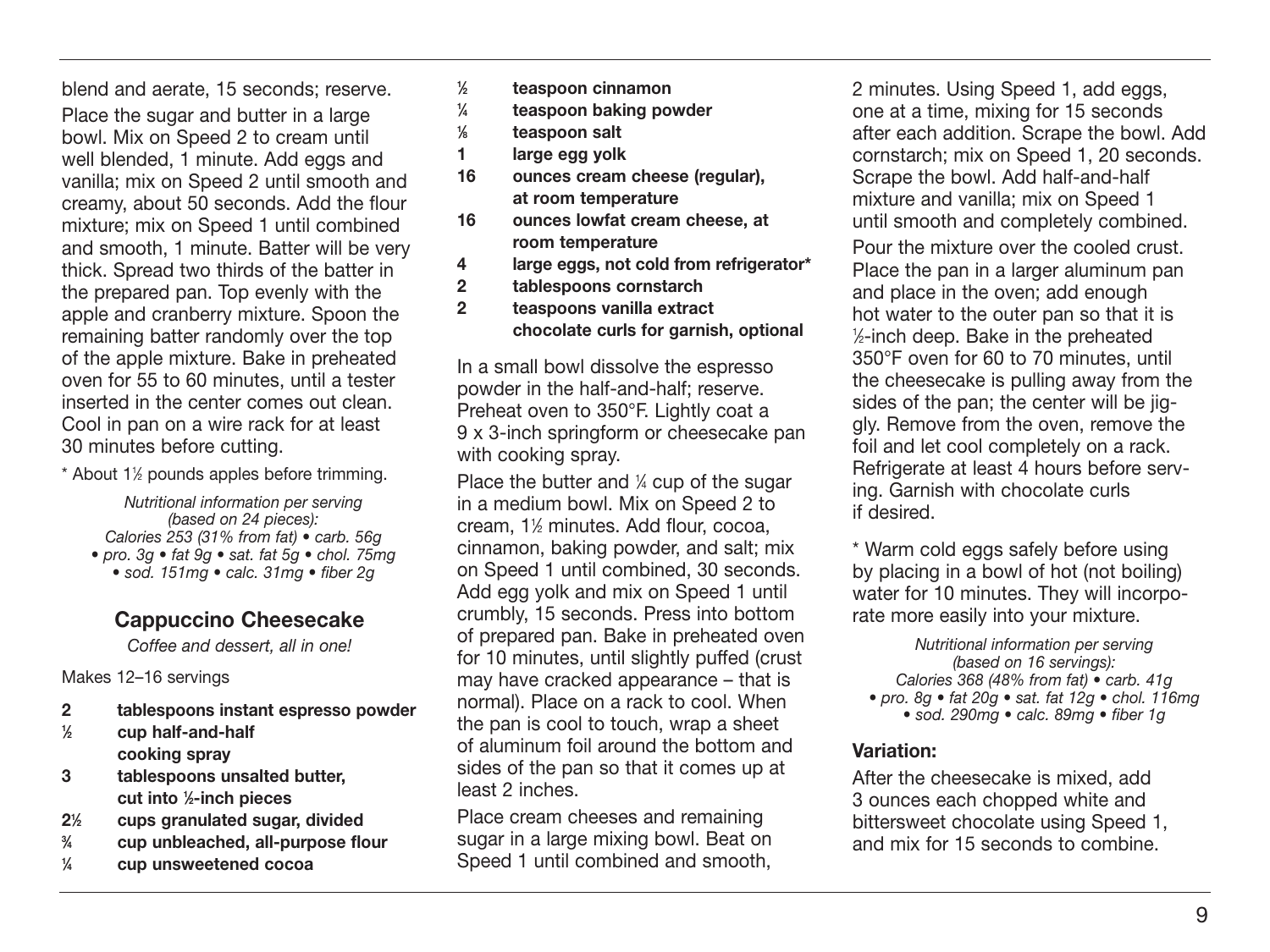blend and aerate, 15 seconds; reserve.

Place the sugar and butter in a large bowl. Mix on Speed 2 to cream until well blended, 1 minute. Add eggs and vanilla; mix on Speed 2 until smooth and creamy, about 50 seconds. Add the flour mixture; mix on Speed 1 until combined and smooth, 1 minute. Batter will be very thick. Spread two thirds of the batter in the prepared pan. Top evenly with the apple and cranberry mixture. Spoon the remaining batter randomly over the top of the apple mixture. Bake in preheated oven for 55 to 60 minutes, until a tester inserted in the center comes out clean. Cool in pan on a wire rack for at least 30 minutes before cutting.

\* About 11 ⁄2 pounds apples before trimming.

Nutritional information per serving (based on 24 pieces): Calories 253 (31% from fat) • carb. 56g • pro. 3g • fat 9g • sat. fat 5g • chol. 75mg • sod. 151mg • calc. 31mg • fiber 2g

#### **Cappuccino Cheesecake**

Coffee and dessert, all in one!

Makes 12–16 servings

- **2 tablespoons instant espresso powder**
- **1 ⁄2 cup half-and-half cooking spray**
- **3 tablespoons unsalted butter, cut into 1 ⁄2-inch pieces**
- **21 ⁄2 cups granulated sugar, divided**
- **3 ⁄4 cup unbleached, all-purpose flour**
- **1 ⁄4 cup unsweetened cocoa**
- **1 ⁄2 teaspoon cinnamon**
- **1 ⁄4 teaspoon baking powder**
- **1 ⁄8 teaspoon salt**
- **1 large egg yolk**
- **16 ounces cream cheese (regular), at room temperature**
- **16 ounces lowfat cream cheese, at room temperature**
- **4 large eggs, not cold from refrigerator\***
- **2 tablespoons cornstarch**
- **2 teaspoons vanilla extract chocolate curls for garnish, optional**

In a small bowl dissolve the espresso powder in the half-and-half; reserve. Preheat oven to 350°F. Lightly coat a 9 x 3-inch springform or cheesecake pan with cooking spray.

Place the butter and ¼ cup of the sugar in a medium bowl. Mix on Speed 2 to cream, 11 ⁄2 minutes. Add flour, cocoa, cinnamon, baking powder, and salt; mix on Speed 1 until combined, 30 seconds. Add egg yolk and mix on Speed 1 until crumbly, 15 seconds. Press into bottom of prepared pan. Bake in preheated oven for 10 minutes, until slightly puffed (crust may have cracked appearance – that is normal). Place on a rack to cool. When the pan is cool to touch, wrap a sheet of aluminum foil around the bottom and sides of the pan so that it comes up at least 2 inches.

Place cream cheeses and remaining sugar in a large mixing bowl. Beat on Speed 1 until combined and smooth, 2 minutes. Using Speed 1, add eggs, one at a time, mixing for 15 seconds after each addition. Scrape the bowl. Add cornstarch; mix on Speed 1, 20 seconds. Scrape the bowl. Add half-and-half mixture and vanilla; mix on Speed 1 until smooth and completely combined. Pour the mixture over the cooled crust. Place the pan in a larger aluminum pan and place in the oven; add enough hot water to the outer pan so that it is 1 ⁄2-inch deep. Bake in the preheated 350°F oven for 60 to 70 minutes, until the cheesecake is pulling away from the sides of the pan; the center will be jiggly. Remove from the oven, remove the foil and let cool completely on a rack. Refrigerate at least 4 hours before serving. Garnish with chocolate curls if desired.

\* Warm cold eggs safely before using by placing in a bowl of hot (not boiling) water for 10 minutes. They will incorporate more easily into your mixture.

Nutritional information per serving (based on 16 servings): Calories 368 (48% from fat) • carb. 41g • pro. 8q • fat 20q • sat. fat  $12q$  • chol. 116mq • sod. 290mg • calc. 89mg • fiber 1g

#### **Variation:**

After the cheesecake is mixed, add 3 ounces each chopped white and bittersweet chocolate using Speed 1, and mix for 15 seconds to combine.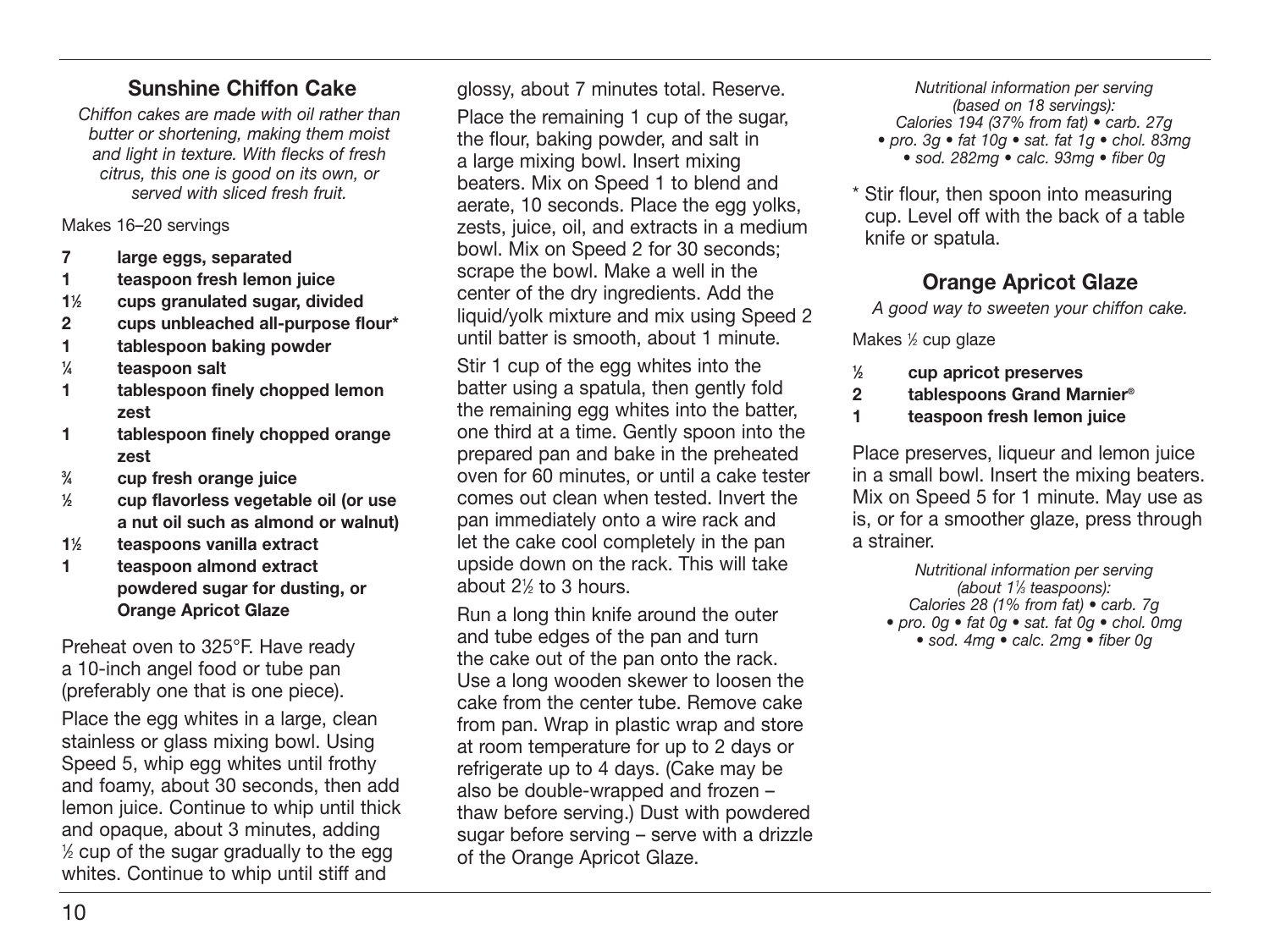#### **Sunshine Chiffon Cake**

Chiffon cakes are made with oil rather than butter or shortening, making them moist and light in texture. With flecks of fresh citrus, this one is good on its own, or served with sliced fresh fruit.

Makes 16–20 servings

- **7 large eggs, separated**
- **1 teaspoon fresh lemon juice**
- **11 ⁄2 cups granulated sugar, divided**
- **2 cups unbleached all-purpose flour\***
- **1 tablespoon baking powder**
- **1 ⁄4 teaspoon salt**
- **1 tablespoon finely chopped lemon zest**
- **1 tablespoon finely chopped orange zest**
- **3 ⁄4 cup fresh orange juice**
- **1 ⁄2 cup flavorless vegetable oil (or use a nut oil such as almond or walnut)**
- **11 ⁄2 teaspoons vanilla extract**
- **1 teaspoon almond extract powdered sugar for dusting, or Orange Apricot Glaze**

Preheat oven to 325°F. Have ready a 10-inch angel food or tube pan (preferably one that is one piece).

Place the egg whites in a large, clean stainless or glass mixing bowl. Using Speed 5, whip egg whites until frothy and foamy, about 30 seconds, then add lemon juice. Continue to whip until thick and opaque, about 3 minutes, adding 1 ⁄2 cup of the sugar gradually to the egg whites. Continue to whip until stiff and

glossy, about 7 minutes total. Reserve.

Place the remaining 1 cup of the sugar, the flour, baking powder, and salt in a large mixing bowl. Insert mixing beaters. Mix on Speed 1 to blend and aerate, 10 seconds. Place the egg yolks, zests, juice, oil, and extracts in a medium bowl. Mix on Speed 2 for 30 seconds; scrape the bowl. Make a well in the center of the dry ingredients. Add the liquid/yolk mixture and mix using Speed 2 until batter is smooth, about 1 minute.

Stir 1 cup of the egg whites into the batter using a spatula, then gently fold the remaining egg whites into the batter, one third at a time. Gently spoon into the prepared pan and bake in the preheated oven for 60 minutes, or until a cake tester comes out clean when tested. Invert the pan immediately onto a wire rack and let the cake cool completely in the pan upside down on the rack. This will take about 21 ⁄2 to 3 hours.

Run a long thin knife around the outer and tube edges of the pan and turn the cake out of the pan onto the rack. Use a long wooden skewer to loosen the cake from the center tube. Remove cake from pan. Wrap in plastic wrap and store at room temperature for up to 2 days or refrigerate up to 4 days. (Cake may be also be double-wrapped and frozen – thaw before serving.) Dust with powdered sugar before serving – serve with a drizzle of the Orange Apricot Glaze.

Nutritional information per serving (based on 18 servings): Calories 194 (37% from fat) • carb. 27g • pro. 3q • fat 10q • sat. fat 1q • chol. 83mq • sod. 282mg • calc. 93mg • fiber 0g

\* Stir flour, then spoon into measuring cup. Level off with the back of a table knife or spatula.

#### **Orange Apricot Glaze**

A good way to sweeten your chiffon cake.

Makes 1 ⁄2 cup glaze

- **1 ⁄2 cup apricot preserves**
- **2 tablespoons Grand Marnier®**
- **1 teaspoon fresh lemon juice**

Place preserves, liqueur and lemon juice in a small bowl. Insert the mixing beaters. Mix on Speed 5 for 1 minute. May use as is, or for a smoother glaze, press through a strainer.

Nutritional information per serving (about 11 ⁄3 teaspoons): Calories 28 (1% from fat) • carb. 7g • pro. 0g • fat 0g • sat. fat 0g • chol. 0mg • sod. 4mg • calc. 2mg • fiber 0g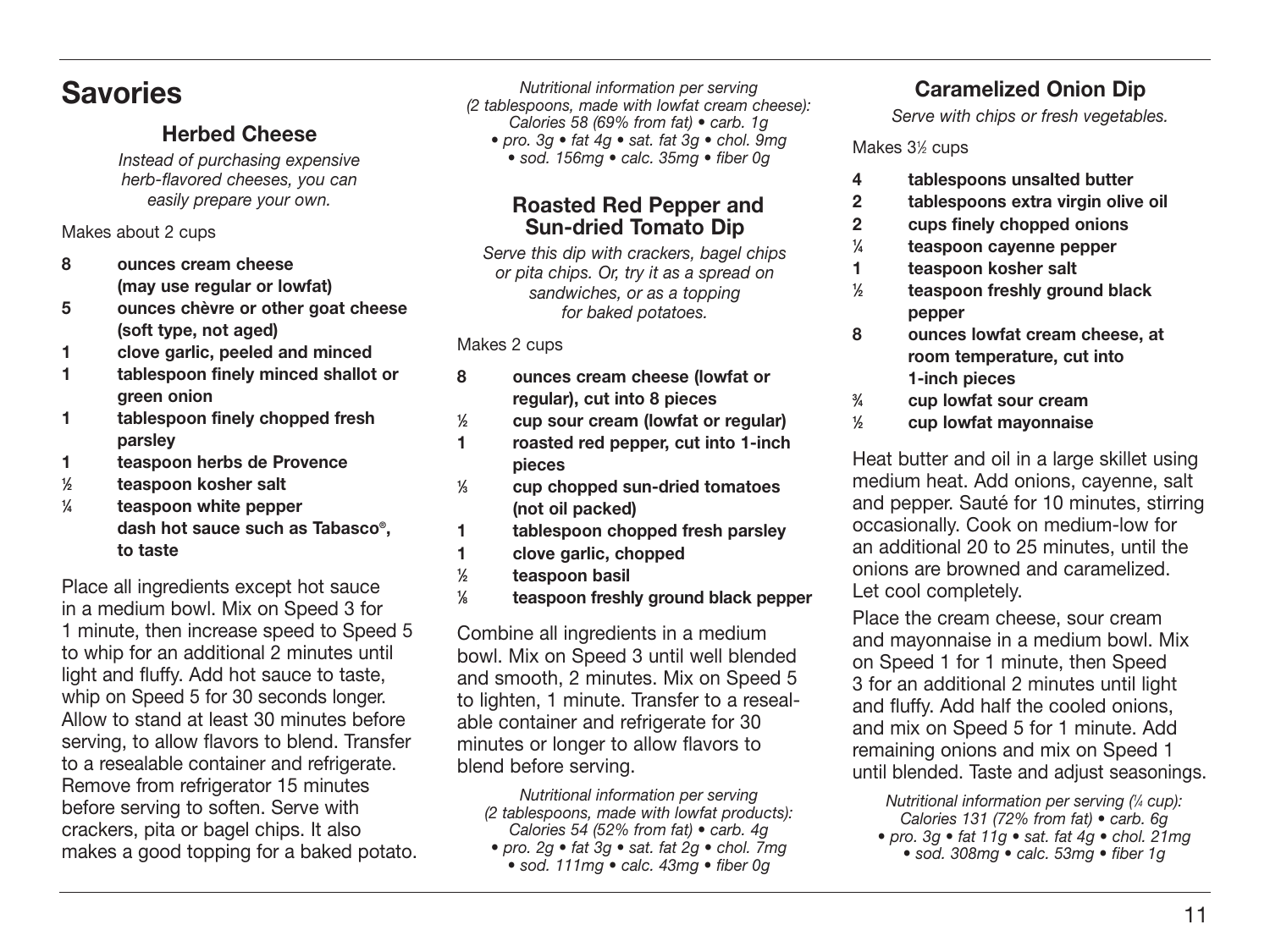### **Savories**

#### **Herbed Cheese**

Instead of purchasing expensive herb-flavored cheeses, you can easily prepare your own.

Makes about 2 cups

- **8 ounces cream cheese (may use regular or lowfat)**
- **5 ounces chèvre or other goat cheese (soft type, not aged)**
- **1 clove garlic, peeled and minced**
- **1 tablespoon finely minced shallot or green onion**
- **1 tablespoon finely chopped fresh parsley**
- **1 teaspoon herbs de Provence**
- **1 ⁄2 teaspoon kosher salt**
- **1 ⁄4 teaspoon white pepper dash hot sauce such as Tabasco®, to taste**

Place all ingredients except hot sauce in a medium bowl. Mix on Speed 3 for 1 minute, then increase speed to Speed 5 to whip for an additional 2 minutes until light and fluffy. Add hot sauce to taste, whip on Speed 5 for 30 seconds longer. Allow to stand at least 30 minutes before serving, to allow flavors to blend. Transfer to a resealable container and refrigerate. Remove from refrigerator 15 minutes before serving to soften. Serve with crackers, pita or bagel chips. It also makes a good topping for a baked potato.

Nutritional information per serving (2 tablespoons, made with lowfat cream cheese): Calories 58 (69% from fat) • carb. 1g

• pro. 3g • fat 4g • sat. fat 3g • chol. 9mg • sod. 156mg • calc. 35mg • fiber 0g

#### **Roasted Red Pepper and Sun-dried Tomato Dip**

Serve this dip with crackers, bagel chips or pita chips. Or, try it as a spread on sandwiches, or as a topping for baked potatoes.

#### Makes 2 cups

- **8 ounces cream cheese (lowfat or regular), cut into 8 pieces**
- **1 ⁄2 cup sour cream (lowfat or regular)**
- **1 roasted red pepper, cut into 1-inch pieces**
- **1 ⁄3 cup chopped sun-dried tomatoes (not oil packed)**
- **1 tablespoon chopped fresh parsley**
- **1 clove garlic, chopped**
- **1 ⁄2 teaspoon basil**
- **1 ⁄8 teaspoon freshly ground black pepper**

Combine all ingredients in a medium bowl. Mix on Speed 3 until well blended and smooth, 2 minutes. Mix on Speed 5 to lighten, 1 minute. Transfer to a resealable container and refrigerate for 30 minutes or longer to allow flavors to blend before serving.

Nutritional information per serving (2 tablespoons, made with lowfat products): Calories 54 (52% from fat) • carb. 4g

- pro. 2g fat  $3q$  sat. fat  $2q$  chol. 7mg • sod. 111mg • calc. 43mg • fiber 0g
	-

#### **Caramelized Onion Dip**

Serve with chips or fresh vegetables.

Makes 31 ⁄2 cups

- **4 tablespoons unsalted butter**
- **2 tablespoons extra virgin olive oil**
- **2 cups finely chopped onions**
- **1 ⁄4 teaspoon cayenne pepper**
- **1 teaspoon kosher salt**
- **1 ⁄2 teaspoon freshly ground black pepper**
- **8 ounces lowfat cream cheese, at room temperature, cut into 1-inch pieces**
- **3 ⁄4 cup lowfat sour cream**
- **1 ⁄2 cup lowfat mayonnaise**

Heat butter and oil in a large skillet using medium heat. Add onions, cayenne, salt and pepper. Sauté for 10 minutes, stirring occasionally. Cook on medium-low for an additional 20 to 25 minutes, until the onions are browned and caramelized. Let cool completely.

Place the cream cheese, sour cream and mayonnaise in a medium bowl. Mix on Speed 1 for 1 minute, then Speed 3 for an additional 2 minutes until light and fluffy. Add half the cooled onions, and mix on Speed 5 for 1 minute. Add remaining onions and mix on Speed 1 until blended. Taste and adjust seasonings.

Nutritional information per serving (1 ⁄4 cup): Calories 131 (72% from fat) • carb. 6g • pro. 3g • fat 11g • sat. fat 4g • chol. 21mg • sod. 308mg • calc. 53mg • fiber 1g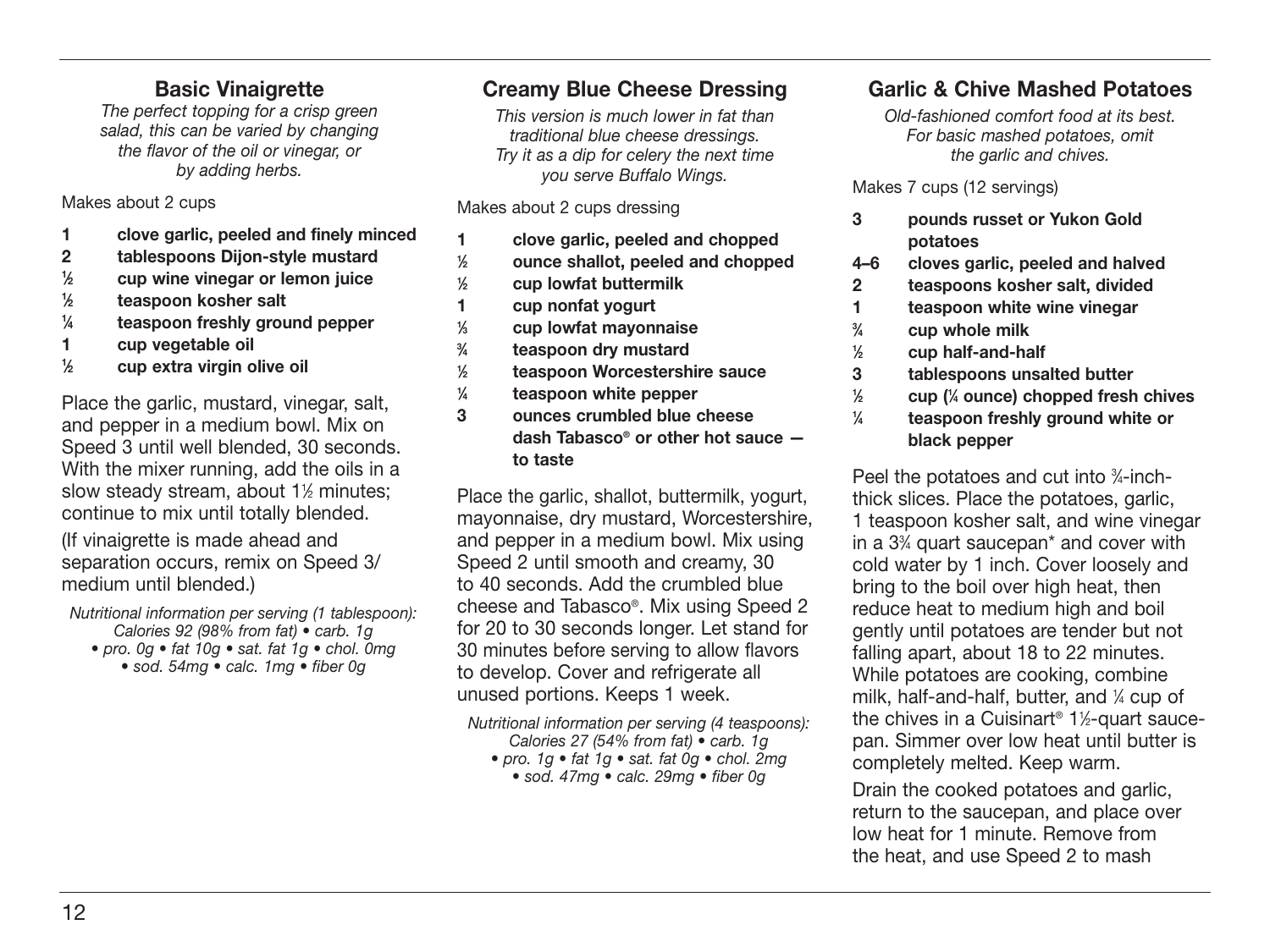#### **Basic Vinaigrette**

The perfect topping for a crisp green salad, this can be varied by changing the flavor of the oil or vinegar, or by adding herbs.

Makes about 2 cups

- **1 clove garlic, peeled and finely minced**
- **2 tablespoons Dijon-style mustard**
- **1 ⁄2 cup wine vinegar or lemon juice**
- **1 ⁄2 teaspoon kosher salt**
- **1 ⁄4 teaspoon freshly ground pepper**
- **1 cup vegetable oil**
- **1 ⁄2 cup extra virgin olive oil**

Place the garlic, mustard, vinegar, salt, and pepper in a medium bowl. Mix on Speed 3 until well blended, 30 seconds. With the mixer running, add the oils in a slow steady stream, about 11 ⁄2 minutes; continue to mix until totally blended.

(If vinaigrette is made ahead and separation occurs, remix on Speed 3/ medium until blended.)

Nutritional information per serving (1 tablespoon): Calories 92 (98% from fat) • carb. 1g • pro. 0g • fat 10g • sat. fat 1g • chol. 0mg • sod. 54mg • calc. 1mg • fiber 0g

#### **Creamy Blue Cheese Dressing**

This version is much lower in fat than traditional blue cheese dressings. Try it as a dip for celery the next time you serve Buffalo Wings.

Makes about 2 cups dressing

- **1 clove garlic, peeled and chopped 1 ⁄2 ounce shallot, peeled and chopped**
- **1 ⁄2 cup lowfat buttermilk**
- **1 cup nonfat yogurt**
- **1 ⁄3 cup lowfat mayonnaise**
- **3 ⁄4 teaspoon dry mustard**
- **1 ⁄2 teaspoon Worcestershire sauce**
- **1 ⁄4 teaspoon white pepper**
- **3 ounces crumbled blue cheese dash Tabasco® or other hot sauce to taste**

Place the garlic, shallot, buttermilk, yogurt, mayonnaise, dry mustard, Worcestershire, and pepper in a medium bowl. Mix using Speed 2 until smooth and creamy, 30 to 40 seconds. Add the crumbled blue cheese and Tabasco®. Mix using Speed 2 for 20 to 30 seconds longer. Let stand for 30 minutes before serving to allow flavors to develop. Cover and refrigerate all unused portions. Keeps 1 week.

Nutritional information per serving (4 teaspoons): Calories 27 (54% from fat) • carb. 1g

• pro. 1g • fat 1g • sat. fat 0g • chol. 2mg • sod. 47mg • calc. 29mg • fiber 0g

#### **Garlic & Chive Mashed Potatoes**

Old-fashioned comfort food at its best. For basic mashed potatoes, omit the garlic and chives.

Makes 7 cups (12 servings)

- **3 pounds russet or Yukon Gold potatoes**
- **4–6 cloves garlic, peeled and halved**
- **2 teaspoons kosher salt, divided**
- **1 teaspoon white wine vinegar**
- **3 ⁄4 cup whole milk**
- **1 ⁄2 cup half-and-half**
- **3 tablespoons unsalted butter**
- **1 ⁄2 cup (1 ⁄4 ounce) chopped fresh chives**
- **1 ⁄4 teaspoon freshly ground white or black pepper**

Peel the potatoes and cut into 34-inchthick slices. Place the potatoes, garlic, 1 teaspoon kosher salt, and wine vinegar in a 33 ⁄4 quart saucepan\* and cover with cold water by 1 inch. Cover loosely and bring to the boil over high heat, then reduce heat to medium high and boil gently until potatoes are tender but not falling apart, about 18 to 22 minutes. While potatoes are cooking, combine milk, half-and-half, butter, and 1 ⁄4 cup of the chives in a Cuisinart® 11 ⁄2-quart saucepan. Simmer over low heat until butter is completely melted. Keep warm.

Drain the cooked potatoes and garlic. return to the saucepan, and place over low heat for 1 minute. Remove from the heat, and use Speed 2 to mash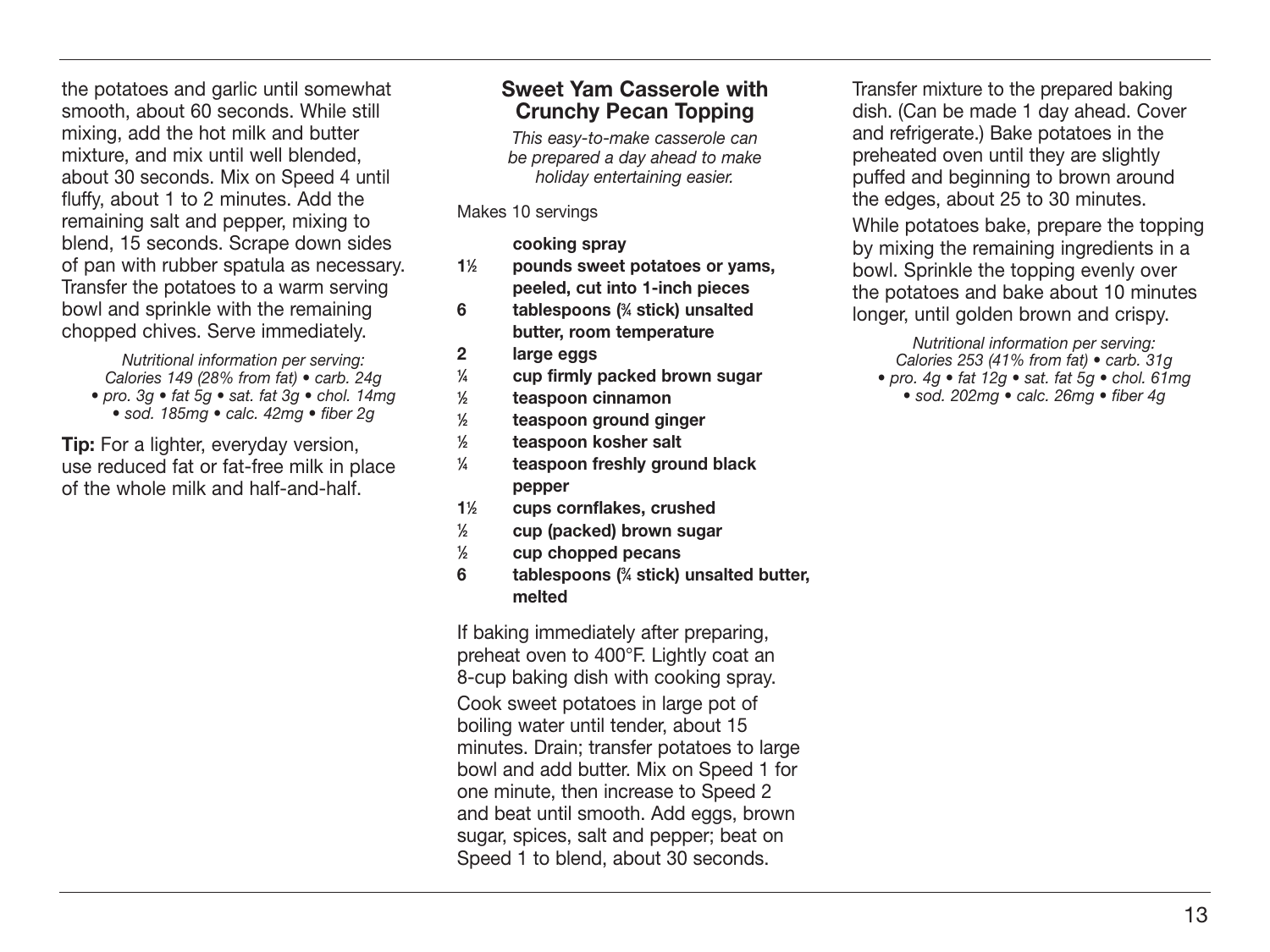the potatoes and garlic until somewhat smooth, about 60 seconds. While still mixing, add the hot milk and butter mixture, and mix until well blended, about 30 seconds. Mix on Speed 4 until fluffy, about 1 to 2 minutes. Add the remaining salt and pepper, mixing to blend, 15 seconds. Scrape down sides of pan with rubber spatula as necessary. Transfer the potatoes to a warm serving bowl and sprinkle with the remaining chopped chives. Serve immediately.

Nutritional information per serving: Calories 149 (28% from fat) • carb. 24g • pro. 3g • fat 5g • sat. fat 3g • chol. 14mg • sod. 185mg • calc. 42mg • fiber 2g

**Tip:** For a lighter, everyday version, use reduced fat or fat-free milk in place of the whole milk and half-and-half.

#### **Sweet Yam Casserole with Crunchy Pecan Topping**

This easy-to-make casserole can be prepared a day ahead to make holiday entertaining easier.

Makes 10 servings

 **cooking spray**

- **11 ⁄2 pounds sweet potatoes or yams, peeled, cut into 1-inch pieces**
- **6 tablespoons (3 ⁄4 stick) unsalted butter, room temperature**
- **2 large eggs**
- **1 ⁄4 cup firmly packed brown sugar**
- **1 ⁄2 teaspoon cinnamon**
- **1 ⁄2 teaspoon ground ginger**
- **1 ⁄2 teaspoon kosher salt**
- **1 ⁄4 teaspoon freshly ground black pepper**
- **11 ⁄2 cups cornflakes, crushed**
- **1 ⁄2 cup (packed) brown sugar**
- **1 ⁄2 cup chopped pecans**
- **6 tablespoons (3 ⁄4 stick) unsalted butter, melted**

If baking immediately after preparing, preheat oven to 400°F. Lightly coat an 8-cup baking dish with cooking spray.

Cook sweet potatoes in large pot of boiling water until tender, about 15 minutes. Drain; transfer potatoes to large bowl and add butter. Mix on Speed 1 for one minute, then increase to Speed 2 and beat until smooth. Add eggs, brown sugar, spices, salt and pepper; beat on Speed 1 to blend, about 30 seconds.

Transfer mixture to the prepared baking dish. (Can be made 1 day ahead. Cover and refrigerate.) Bake potatoes in the preheated oven until they are slightly puffed and beginning to brown around the edges, about 25 to 30 minutes.

While potatoes bake, prepare the topping by mixing the remaining ingredients in a bowl. Sprinkle the topping evenly over the potatoes and bake about 10 minutes longer, until golden brown and crispy.

Nutritional information per serving: Calories 253 (41% from fat) • carb. 31g • pro.  $4q \cdot \text{fat} 12q \cdot \text{sat}$ . fat  $5q \cdot \text{chol}$ . 61mg

• sod. 202mg • calc. 26mg • fiber 4g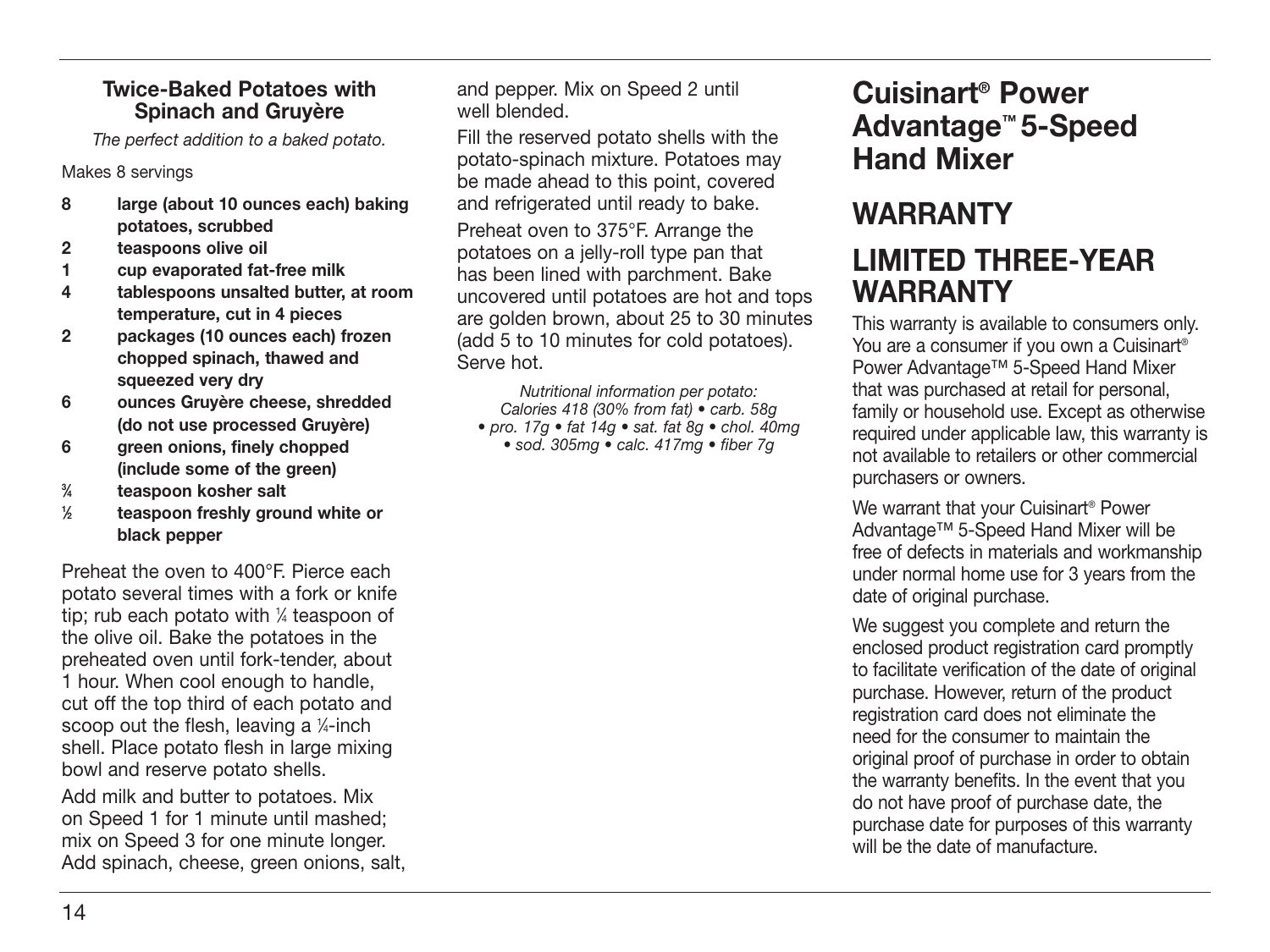#### **Twice-Baked Potatoes with Spinach and Gruyère**

The perfect addition to a baked potato.

Makes 8 servings

- **8 large (about 10 ounces each) baking potatoes, scrubbed**
- **2 teaspoons olive oil**
- **1 cup evaporated fat-free milk**
- **4 tablespoons unsalted butter, at room temperature, cut in 4 pieces**
- **2 packages (10 ounces each) frozen chopped spinach, thawed and squeezed very dry**
- **6 ounces Gruyère cheese, shredded (do not use processed Gruyère)**
- **6 green onions, finely chopped (include some of the green)**
- **3 ⁄4 teaspoon kosher salt**
- **1 ⁄2 teaspoon freshly ground white or black pepper**

Preheat the oven to 400°F. Pierce each potato several times with a fork or knife tip; rub each potato with 1 ⁄4 teaspoon of the olive oil. Bake the potatoes in the preheated oven until fork-tender, about 1 hour. When cool enough to handle, cut off the top third of each potato and scoop out the flesh, leaving a 1 ⁄4-inch shell. Place potato flesh in large mixing bowl and reserve potato shells.

Add milk and butter to potatoes. Mix on Speed 1 for 1 minute until mashed; mix on Speed 3 for one minute longer. Add spinach, cheese, green onions, salt, and pepper. Mix on Speed 2 until well blended.

Fill the reserved potato shells with the potato-spinach mixture. Potatoes may be made ahead to this point, covered and refrigerated until ready to bake.

Preheat oven to 375°F. Arrange the potatoes on a jelly-roll type pan that has been lined with parchment. Bake uncovered until potatoes are hot and tops are golden brown, about 25 to 30 minutes (add 5 to 10 minutes for cold potatoes). Serve hot.

Nutritional information per potato: Calories 418 (30% from fat) • carb. 58g • pro. 17g • fat 14g • sat. fat 8g • chol. 40mg • sod. 305mg • calc. 417mg • fiber 7g

### **Cuisinart® Power Advantage™ 5-Speed Hand Mixer**

## **WARRANTY**

### **LIMITED THREE-YEAR WARRANTY**

This warranty is available to consumers only. You are a consumer if you own a Cuisinart<sup>®</sup> Power Advantage™ 5-Speed Hand Mixer that was purchased at retail for personal, family or household use. Except as otherwise required under applicable law, this warranty is not available to retailers or other commercial purchasers or owners.

We warrant that your Cuisinart<sup>®</sup> Power Advantage™ 5-Speed Hand Mixer will be free of defects in materials and workmanship under normal home use for 3 years from the date of original purchase.

We suggest you complete and return the enclosed product registration card promptly to facilitate verification of the date of original purchase. However, return of the product registration card does not eliminate the need for the consumer to maintain the original proof of purchase in order to obtain the warranty benefits. In the event that you do not have proof of purchase date, the purchase date for purposes of this warranty will be the date of manufacture.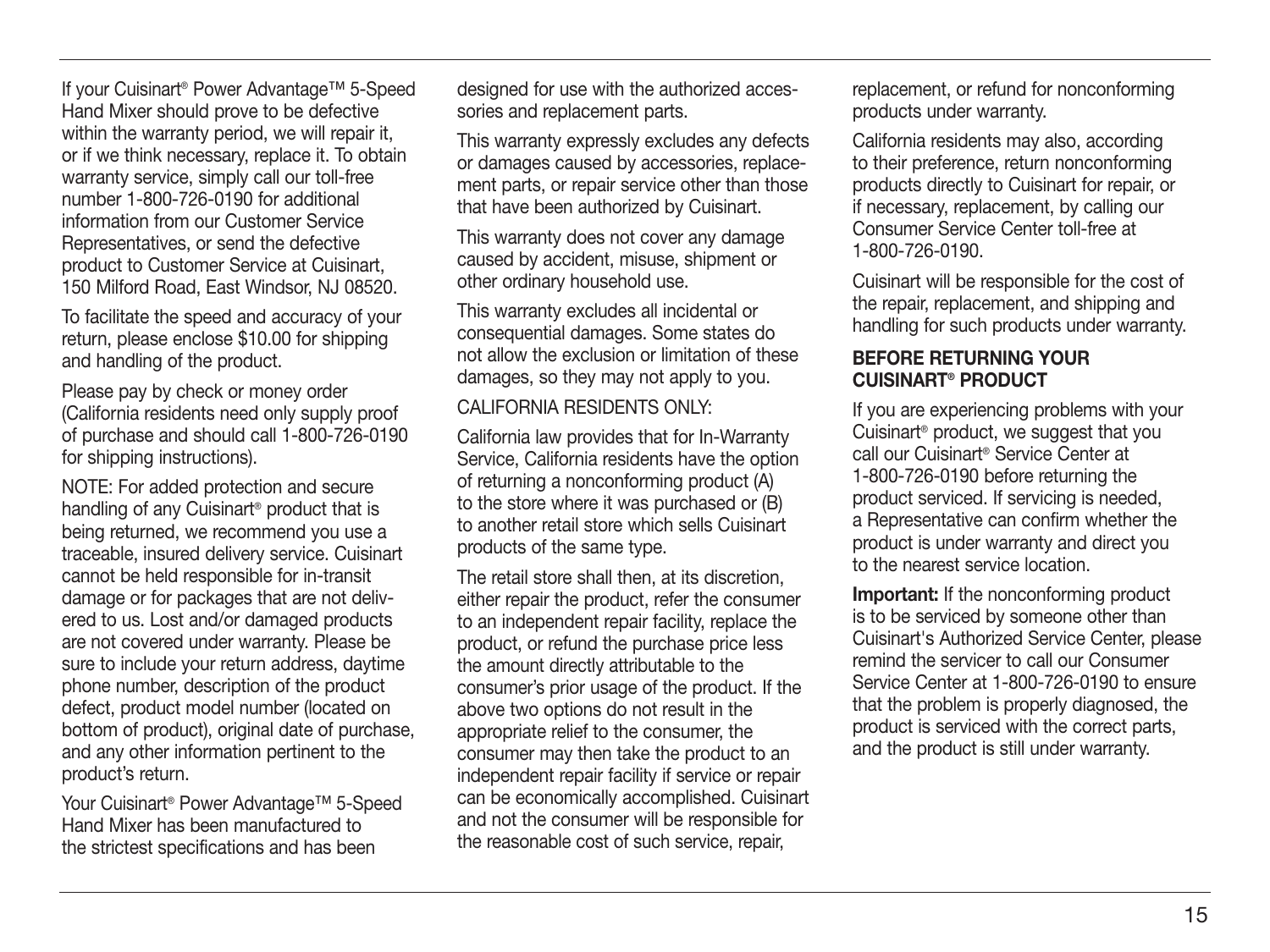If your Cuisinart® Power Advantage™ 5-Speed Hand Mixer should prove to be defective within the warranty period, we will repair it, or if we think necessary, replace it. To obtain warranty service, simply call our toll-free number 1-800-726-0190 for additional information from our Customer Service Representatives, or send the defective product to Customer Service at Cuisinart, 150 Milford Road, East Windsor, NJ 08520.

To facilitate the speed and accuracy of your return, please enclose \$10.00 for shipping and handling of the product.

Please pay by check or money order (California residents need only supply proof of purchase and should call 1-800-726-0190 for shipping instructions).

NOTE: For added protection and secure handling of any Cuisinart® product that is being returned, we recommend you use a traceable, insured delivery service. Cuisinart cannot be held responsible for in-transit damage or for packages that are not delivered to us. Lost and/or damaged products are not covered under warranty. Please be sure to include your return address, daytime phone number, description of the product defect, product model number (located on bottom of product), original date of purchase, and any other information pertinent to the product's return.

Your Cuisinart® Power Advantage™ 5-Speed Hand Mixer has been manufactured to the strictest specifications and has been

designed for use with the authorized accessories and replacement parts.

This warranty expressly excludes any defects or damages caused by accessories, replacement parts, or repair service other than those that have been authorized by Cuisinart.

This warranty does not cover any damage caused by accident, misuse, shipment or other ordinary household use.

This warranty excludes all incidental or consequential damages. Some states do not allow the exclusion or limitation of these damages, so they may not apply to you.

CALIFORNIA RESIDENTS ONLY:

California law provides that for In-Warranty Service, California residents have the option of returning a nonconforming product (A) to the store where it was purchased or (B) to another retail store which sells Cuisinart products of the same type.

The retail store shall then, at its discretion, either repair the product, refer the consumer to an independent repair facility, replace the product, or refund the purchase price less the amount directly attributable to the consumer's prior usage of the product. If the above two options do not result in the appropriate relief to the consumer, the consumer may then take the product to an independent repair facility if service or repair can be economically accomplished. Cuisinart and not the consumer will be responsible for the reasonable cost of such service, repair,

replacement, or refund for nonconforming products under warranty.

California residents may also, according to their preference, return nonconforming products directly to Cuisinart for repair, or if necessary, replacement, by calling our Consumer Service Center toll-free at 1-800-726-0190.

Cuisinart will be responsible for the cost of the repair, replacement, and shipping and handling for such products under warranty.

#### **BEFORE RETURNING YOUR CUISINART® PRODUCT**

If you are experiencing problems with your Cuisinart® product, we suggest that you call our Cuisinart® Service Center at 1-800-726-0190 before returning the product serviced. If servicing is needed, a Representative can confirm whether the product is under warranty and direct you to the nearest service location.

**Important:** If the nonconforming product is to be serviced by someone other than Cuisinart's Authorized Service Center, please remind the servicer to call our Consumer Service Center at 1-800-726-0190 to ensure that the problem is properly diagnosed, the product is serviced with the correct parts, and the product is still under warranty.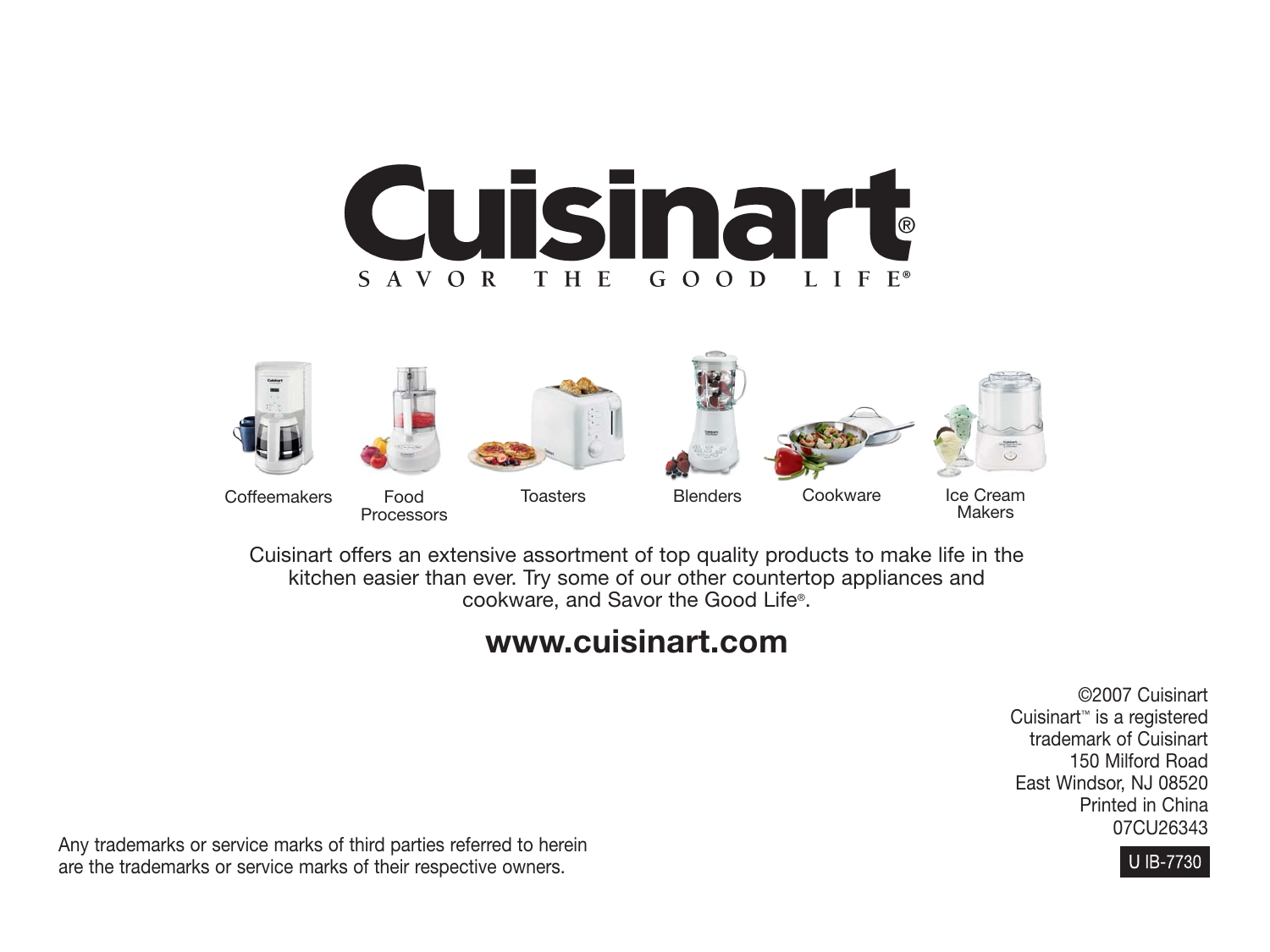



Cuisinart offers an extensive assortment of top quality products to make life in the kitchen easier than ever. Try some of our other countertop appliances and cookware, and Savor the Good Life®.

### **www.cuisinart.com**

©2007 Cuisinart Cuisinart™ is a registered trademark of Cuisinart 150 Milford Road East Windsor, NJ 08520 Printed in China 07CU26343



Any trademarks or service marks of third parties referred to herein are the trademarks or service marks of their respective owners.